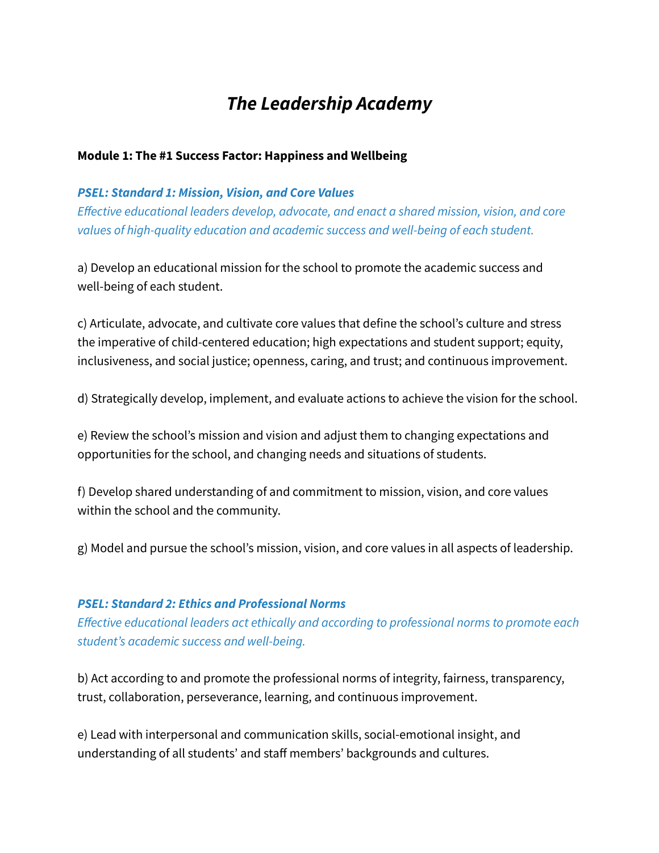## *The Leadership Academy*

#### **Module 1: The #1 Success Factor: Happiness and Wellbeing**

#### *PSEL: Standard 1: Mission, Vision, and Core Values*

*Effective educational leaders develop, advocate, and enact a shared mission, vision, and core values of high-quality education and academic success and well-being of each student.*

a) Develop an educational mission for the school to promote the academic success and well-being of each student.

c) Articulate, advocate, and cultivate core values that define the school's culture and stress the imperative of child-centered education; high expectations and student support; equity, inclusiveness, and social justice; openness, caring, and trust; and continuous improvement.

d) Strategically develop, implement, and evaluate actions to achieve the vision for the school.

e) Review the school's mission and vision and adjust them to changing expectations and opportunities for the school, and changing needs and situations of students.

f) Develop shared understanding of and commitment to mission, vision, and core values within the school and the community.

g) Model and pursue the school's mission, vision, and core values in all aspects of leadership.

#### *PSEL: Standard 2: Ethics and Professional Norms*

*Effective educational leaders act ethically and according to professional norms to promote each student's academic success and well-being.*

b) Act according to and promote the professional norms of integrity, fairness, transparency, trust, collaboration, perseverance, learning, and continuous improvement.

e) Lead with interpersonal and communication skills, social-emotional insight, and understanding of all students' and staff members' backgrounds and cultures.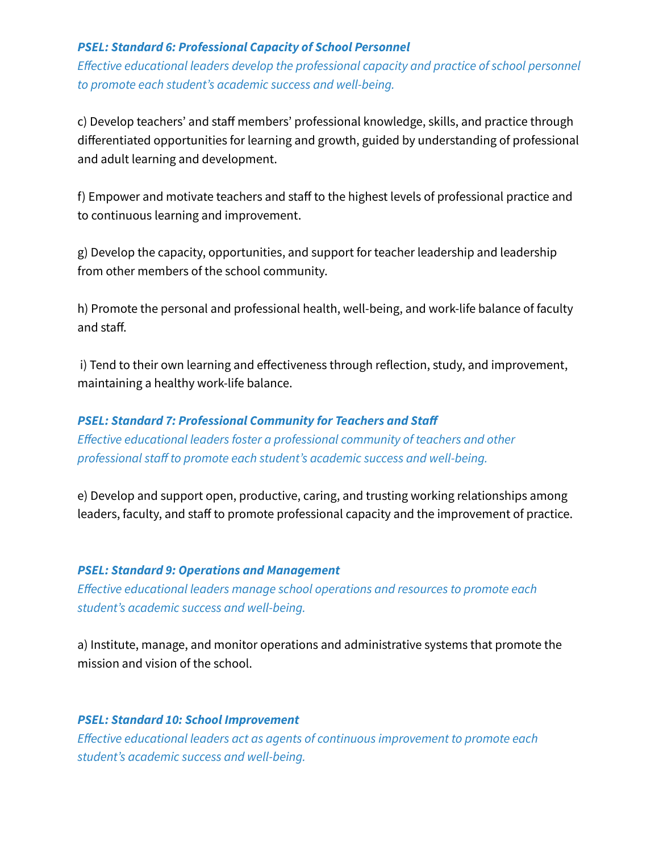#### *PSEL: Standard 6: Professional Capacity of School Personnel*

*Effective educational leaders develop the professional capacity and practice of school personnel to promote each student's academic success and well-being.*

c) Develop teachers' and staff members' professional knowledge, skills, and practice through differentiated opportunities for learning and growth, guided by understanding of professional and adult learning and development.

f) Empower and motivate teachers and staff to the highest levels of professional practice and to continuous learning and improvement.

g) Develop the capacity, opportunities, and support for teacher leadership and leadership from other members of the school community.

h) Promote the personal and professional health, well-being, and work-life balance of faculty and staff.

i) Tend to their own learning and effectiveness through reflection, study, and improvement, maintaining a healthy work-life balance.

*PSEL: Standard 7: Professional Community for Teachers and Staff Effective educational leaders foster a professional community of teachers and other professional staff to promote each student's academic success and well-being.*

e) Develop and support open, productive, caring, and trusting working relationships among leaders, faculty, and staff to promote professional capacity and the improvement of practice.

#### *PSEL: Standard 9: Operations and Management*

*Effective educational leaders manage school operations and resources to promote each student's academic success and well-being.*

a) Institute, manage, and monitor operations and administrative systems that promote the mission and vision of the school.

#### *PSEL: Standard 10: School Improvement*

*Effective educational leaders act as agents of continuous improvement to promote each student's academic success and well-being.*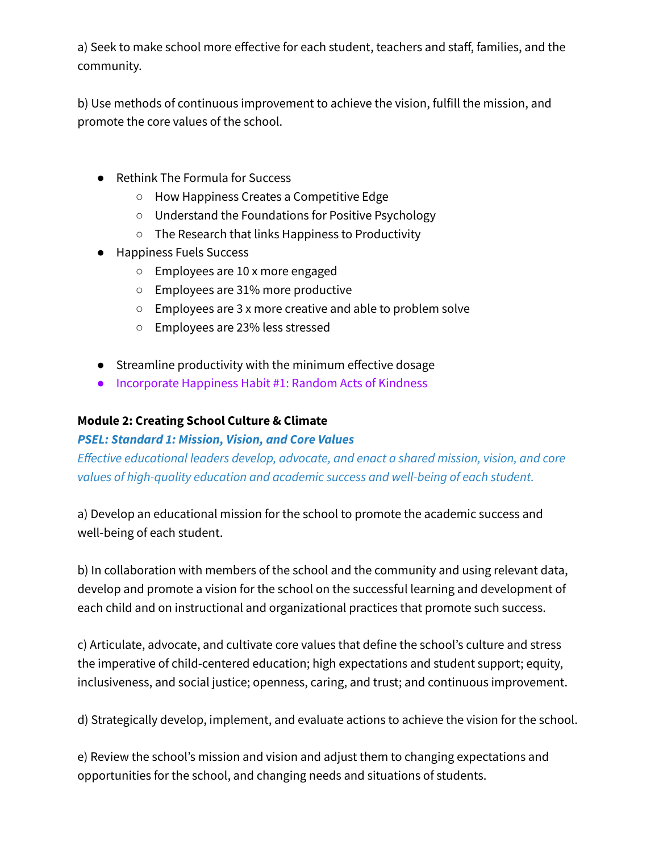a) Seek to make school more effective for each student, teachers and staff, families, and the community.

b) Use methods of continuous improvement to achieve the vision, fulfill the mission, and promote the core values of the school.

- Rethink The Formula for Success
	- How Happiness Creates a Competitive Edge
	- Understand the Foundations for Positive Psychology
	- The Research that links Happiness to Productivity
- Happiness Fuels Success
	- Employees are 10 x more engaged
	- Employees are 31% more productive
	- Employees are 3 x more creative and able to problem solve
	- Employees are 23% less stressed
- Streamline productivity with the minimum effective dosage
- Incorporate Happiness Habit #1: Random Acts of Kindness

## **Module 2: Creating School Culture & Climate**

## *PSEL: Standard 1: Mission, Vision, and Core Values*

*Effective educational leaders develop, advocate, and enact a shared mission, vision, and core values of high-quality education and academic success and well-being of each student.*

a) Develop an educational mission for the school to promote the academic success and well-being of each student.

b) In collaboration with members of the school and the community and using relevant data, develop and promote a vision for the school on the successful learning and development of each child and on instructional and organizational practices that promote such success.

c) Articulate, advocate, and cultivate core values that define the school's culture and stress the imperative of child-centered education; high expectations and student support; equity, inclusiveness, and social justice; openness, caring, and trust; and continuous improvement.

d) Strategically develop, implement, and evaluate actions to achieve the vision for the school.

e) Review the school's mission and vision and adjust them to changing expectations and opportunities for the school, and changing needs and situations of students.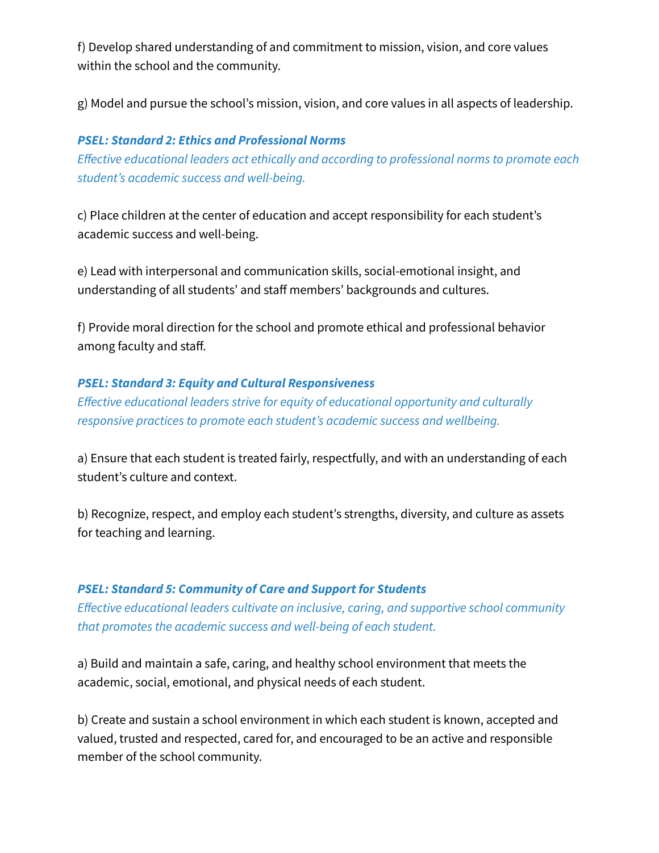f) Develop shared understanding of and commitment to mission, vision, and core values within the school and the community.

g) Model and pursue the school's mission, vision, and core values in all aspects of leadership.

#### *PSEL: Standard 2: Ethics and Professional Norms*

*Effective educational leaders act ethically and according to professional norms to promote each student's academic success and well-being.*

c) Place children at the center of education and accept responsibility for each student's academic success and well-being.

e) Lead with interpersonal and communication skills, social-emotional insight, and understanding of all students' and staff members' backgrounds and cultures.

f) Provide moral direction for the school and promote ethical and professional behavior among faculty and staff.

#### *PSEL: Standard 3: Equity and Cultural Responsiveness*

*Effective educational leaders strive for equity of educational opportunity and culturally responsive practices to promote each student's academic success and wellbeing.*

a) Ensure that each student is treated fairly, respectfully, and with an understanding of each student's culture and context.

b) Recognize, respect, and employ each student's strengths, diversity, and culture as assets for teaching and learning.

## *PSEL: Standard 5: Community of Care and Support for Students*

*Effective educational leaders cultivate an inclusive, caring, and supportive school community that promotes the academic success and well-being of each student.*

a) Build and maintain a safe, caring, and healthy school environment that meets the academic, social, emotional, and physical needs of each student.

b) Create and sustain a school environment in which each student is known, accepted and valued, trusted and respected, cared for, and encouraged to be an active and responsible member of the school community.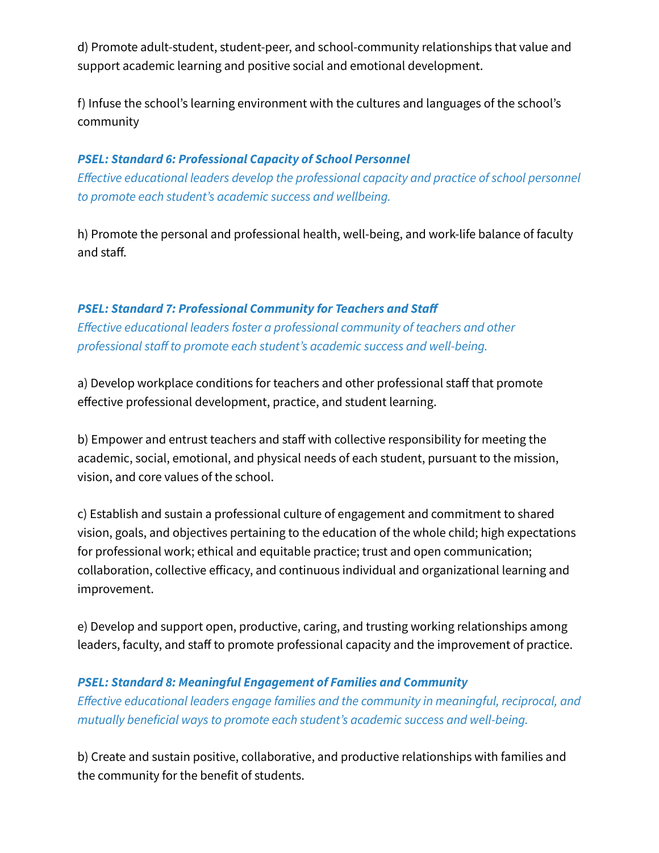d) Promote adult-student, student-peer, and school-community relationships that value and support academic learning and positive social and emotional development.

f) Infuse the school's learning environment with the cultures and languages of the school's community

#### *PSEL: Standard 6: Professional Capacity of School Personnel*

*Effective educational leaders develop the professional capacity and practice of school personnel to promote each student's academic success and wellbeing.*

h) Promote the personal and professional health, well-being, and work-life balance of faculty and staff.

#### *PSEL: Standard 7: Professional Community for Teachers and Staff*

*Effective educational leaders foster a professional community of teachers and other professional staff to promote each student's academic success and well-being.*

a) Develop workplace conditions for teachers and other professional staff that promote effective professional development, practice, and student learning.

b) Empower and entrust teachers and staff with collective responsibility for meeting the academic, social, emotional, and physical needs of each student, pursuant to the mission, vision, and core values of the school.

c) Establish and sustain a professional culture of engagement and commitment to shared vision, goals, and objectives pertaining to the education of the whole child; high expectations for professional work; ethical and equitable practice; trust and open communication; collaboration, collective efficacy, and continuous individual and organizational learning and improvement.

e) Develop and support open, productive, caring, and trusting working relationships among leaders, faculty, and staff to promote professional capacity and the improvement of practice.

## *PSEL: Standard 8: Meaningful Engagement of Families and Community*

*Effective educational leaders engage families and the community in meaningful, reciprocal, and mutually beneficial ways to promote each student's academic success and well-being.*

b) Create and sustain positive, collaborative, and productive relationships with families and the community for the benefit of students.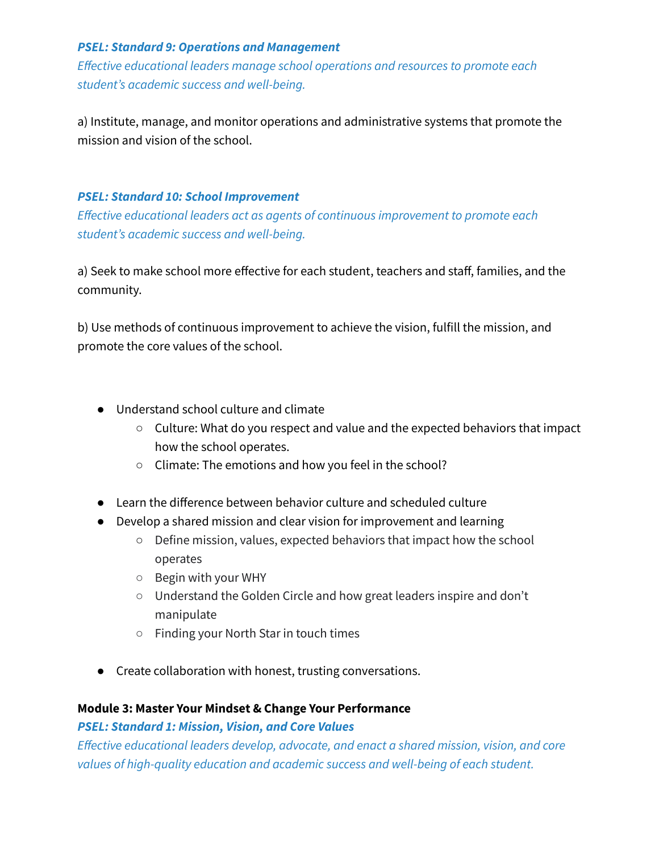#### *PSEL: Standard 9: Operations and Management*

*Effective educational leaders manage school operations and resources to promote each student's academic success and well-being.*

a) Institute, manage, and monitor operations and administrative systems that promote the mission and vision of the school.

#### *PSEL: Standard 10: School Improvement*

*Effective educational leaders act as agents of continuous improvement to promote each student's academic success and well-being.*

a) Seek to make school more effective for each student, teachers and staff, families, and the community.

b) Use methods of continuous improvement to achieve the vision, fulfill the mission, and promote the core values of the school.

- Understand school culture and climate
	- Culture: What do you respect and value and the expected behaviors that impact how the school operates.
	- Climate: The emotions and how you feel in the school?
- Learn the difference between behavior culture and scheduled culture
- Develop a shared mission and clear vision for improvement and learning
	- Define mission, values, expected behaviors that impact how the school operates
	- Begin with your WHY
	- Understand the Golden Circle and how great leaders inspire and don't manipulate
	- Finding your North Star in touch times
- Create collaboration with honest, trusting conversations.

#### **Module 3: Master Your Mindset & Change Your Performance**

#### *PSEL: Standard 1: Mission, Vision, and Core Values*

*Effective educational leaders develop, advocate, and enact a shared mission, vision, and core values of high-quality education and academic success and well-being of each student.*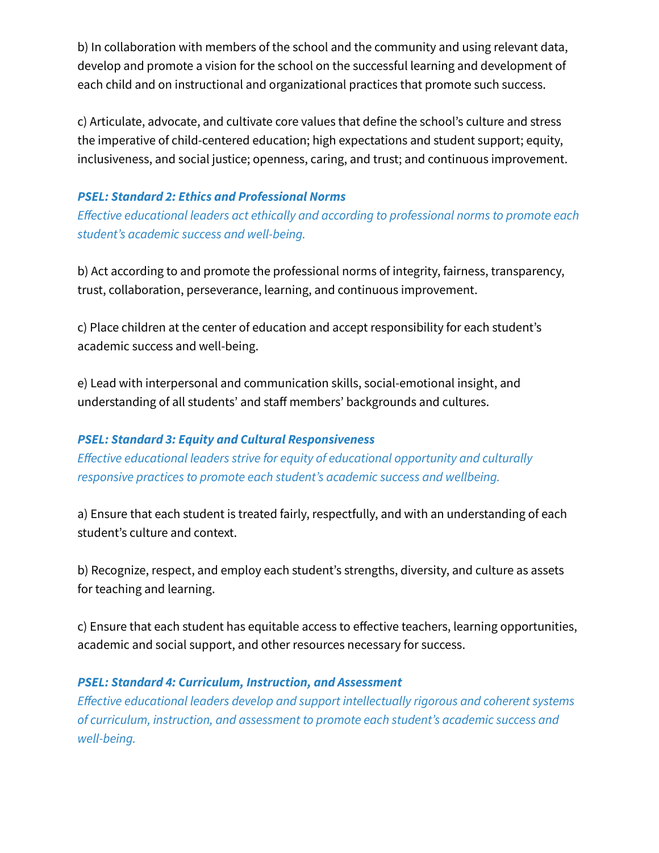b) In collaboration with members of the school and the community and using relevant data, develop and promote a vision for the school on the successful learning and development of each child and on instructional and organizational practices that promote such success.

c) Articulate, advocate, and cultivate core values that define the school's culture and stress the imperative of child-centered education; high expectations and student support; equity, inclusiveness, and social justice; openness, caring, and trust; and continuous improvement.

#### *PSEL: Standard 2: Ethics and Professional Norms*

*Effective educational leaders act ethically and according to professional norms to promote each student's academic success and well-being.*

b) Act according to and promote the professional norms of integrity, fairness, transparency, trust, collaboration, perseverance, learning, and continuous improvement.

c) Place children at the center of education and accept responsibility for each student's academic success and well-being.

e) Lead with interpersonal and communication skills, social-emotional insight, and understanding of all students' and staff members' backgrounds and cultures.

## *PSEL: Standard 3: Equity and Cultural Responsiveness*

*Effective educational leaders strive for equity of educational opportunity and culturally responsive practices to promote each student's academic success and wellbeing.*

a) Ensure that each student is treated fairly, respectfully, and with an understanding of each student's culture and context.

b) Recognize, respect, and employ each student's strengths, diversity, and culture as assets for teaching and learning.

c) Ensure that each student has equitable access to effective teachers, learning opportunities, academic and social support, and other resources necessary for success.

## *PSEL: Standard 4: Curriculum, Instruction, and Assessment*

*Effective educational leaders develop and support intellectually rigorous and coherent systems of curriculum, instruction, and assessment to promote each student's academic success and well-being.*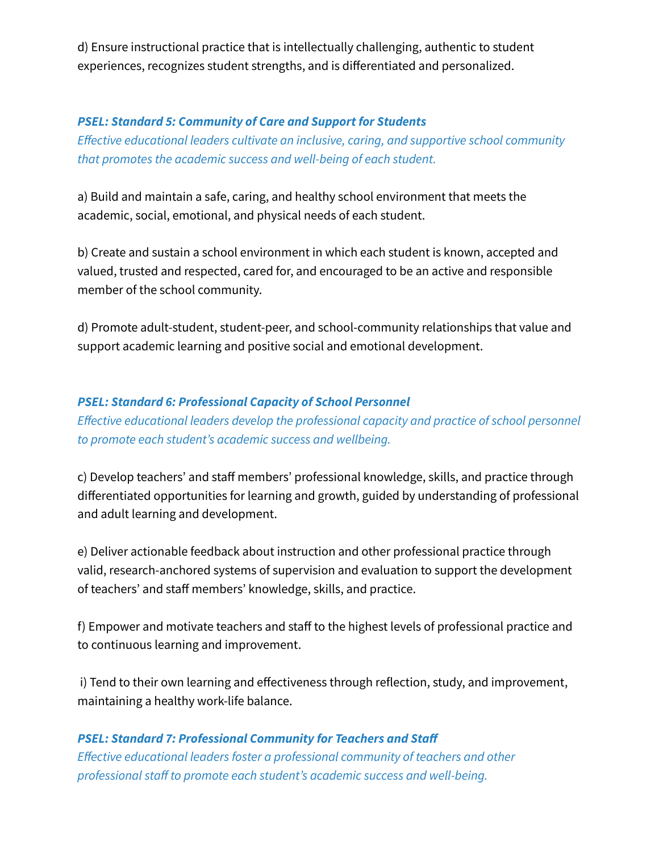d) Ensure instructional practice that is intellectually challenging, authentic to student experiences, recognizes student strengths, and is differentiated and personalized.

## *PSEL: Standard 5: Community of Care and Support for Students*

*Effective educational leaders cultivate an inclusive, caring, and supportive school community that promotes the academic success and well-being of each student.*

a) Build and maintain a safe, caring, and healthy school environment that meets the academic, social, emotional, and physical needs of each student.

b) Create and sustain a school environment in which each student is known, accepted and valued, trusted and respected, cared for, and encouraged to be an active and responsible member of the school community.

d) Promote adult-student, student-peer, and school-community relationships that value and support academic learning and positive social and emotional development.

## *PSEL: Standard 6: Professional Capacity of School Personnel*

*Effective educational leaders develop the professional capacity and practice of school personnel to promote each student's academic success and wellbeing.*

c) Develop teachers' and staff members' professional knowledge, skills, and practice through differentiated opportunities for learning and growth, guided by understanding of professional and adult learning and development.

e) Deliver actionable feedback about instruction and other professional practice through valid, research-anchored systems of supervision and evaluation to support the development of teachers' and staff members' knowledge, skills, and practice.

f) Empower and motivate teachers and staff to the highest levels of professional practice and to continuous learning and improvement.

i) Tend to their own learning and effectiveness through reflection, study, and improvement, maintaining a healthy work-life balance.

## *PSEL: Standard 7: Professional Community for Teachers and Staff*

*Effective educational leaders foster a professional community of teachers and other professional staff to promote each student's academic success and well-being.*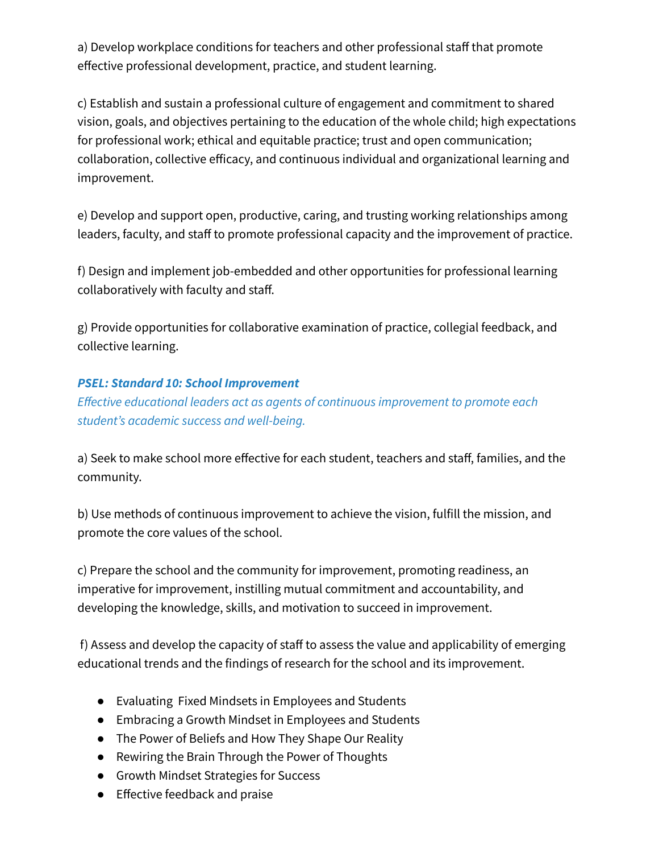a) Develop workplace conditions for teachers and other professional staff that promote effective professional development, practice, and student learning.

c) Establish and sustain a professional culture of engagement and commitment to shared vision, goals, and objectives pertaining to the education of the whole child; high expectations for professional work; ethical and equitable practice; trust and open communication; collaboration, collective efficacy, and continuous individual and organizational learning and improvement.

e) Develop and support open, productive, caring, and trusting working relationships among leaders, faculty, and staff to promote professional capacity and the improvement of practice.

f) Design and implement job-embedded and other opportunities for professional learning collaboratively with faculty and staff.

g) Provide opportunities for collaborative examination of practice, collegial feedback, and collective learning.

## *PSEL: Standard 10: School Improvement*

*Effective educational leaders act as agents of continuous improvement to promote each student's academic success and well-being.*

a) Seek to make school more effective for each student, teachers and staff, families, and the community.

b) Use methods of continuous improvement to achieve the vision, fulfill the mission, and promote the core values of the school.

c) Prepare the school and the community for improvement, promoting readiness, an imperative for improvement, instilling mutual commitment and accountability, and developing the knowledge, skills, and motivation to succeed in improvement.

f) Assess and develop the capacity of staff to assess the value and applicability of emerging educational trends and the findings of research for the school and its improvement.

- Evaluating Fixed Mindsets in Employees and Students
- Embracing a Growth Mindset in Employees and Students
- The Power of Beliefs and How They Shape Our Reality
- Rewiring the Brain Through the Power of Thoughts
- Growth Mindset Strategies for Success
- Effective feedback and praise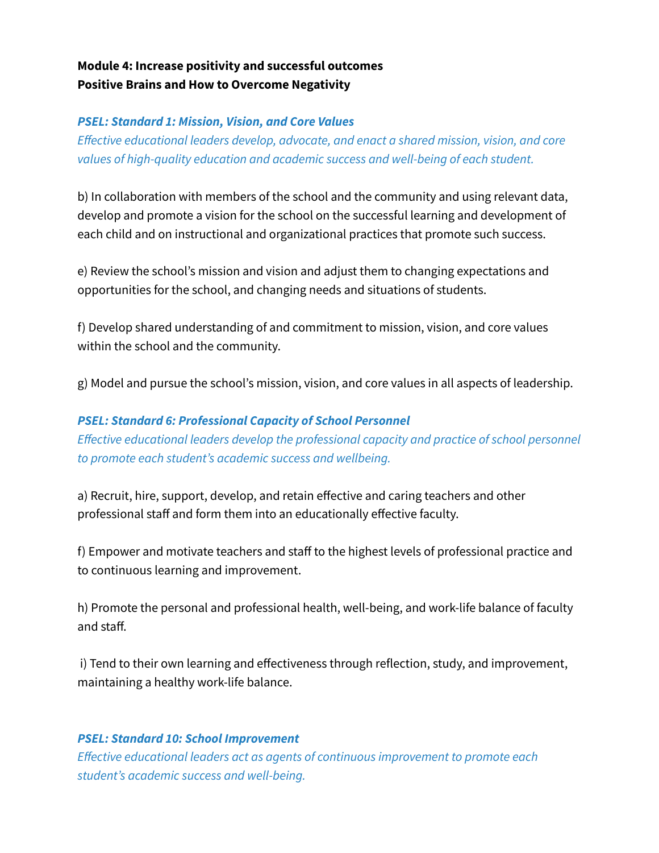## **Module 4: Increase positivity and successful outcomes Positive Brains and How to Overcome Negativity**

## *PSEL: Standard 1: Mission, Vision, and Core Values*

*Effective educational leaders develop, advocate, and enact a shared mission, vision, and core values of high-quality education and academic success and well-being of each student.*

b) In collaboration with members of the school and the community and using relevant data, develop and promote a vision for the school on the successful learning and development of each child and on instructional and organizational practices that promote such success.

e) Review the school's mission and vision and adjust them to changing expectations and opportunities for the school, and changing needs and situations of students.

f) Develop shared understanding of and commitment to mission, vision, and core values within the school and the community.

g) Model and pursue the school's mission, vision, and core values in all aspects of leadership.

*PSEL: Standard 6: Professional Capacity of School Personnel Effective educational leaders develop the professional capacity and practice of school personnel to promote each student's academic success and wellbeing.*

a) Recruit, hire, support, develop, and retain effective and caring teachers and other professional staff and form them into an educationally effective faculty.

f) Empower and motivate teachers and staff to the highest levels of professional practice and to continuous learning and improvement.

h) Promote the personal and professional health, well-being, and work-life balance of faculty and staff.

i) Tend to their own learning and effectiveness through reflection, study, and improvement, maintaining a healthy work-life balance.

#### *PSEL: Standard 10: School Improvement*

*Effective educational leaders act as agents of continuous improvement to promote each student's academic success and well-being.*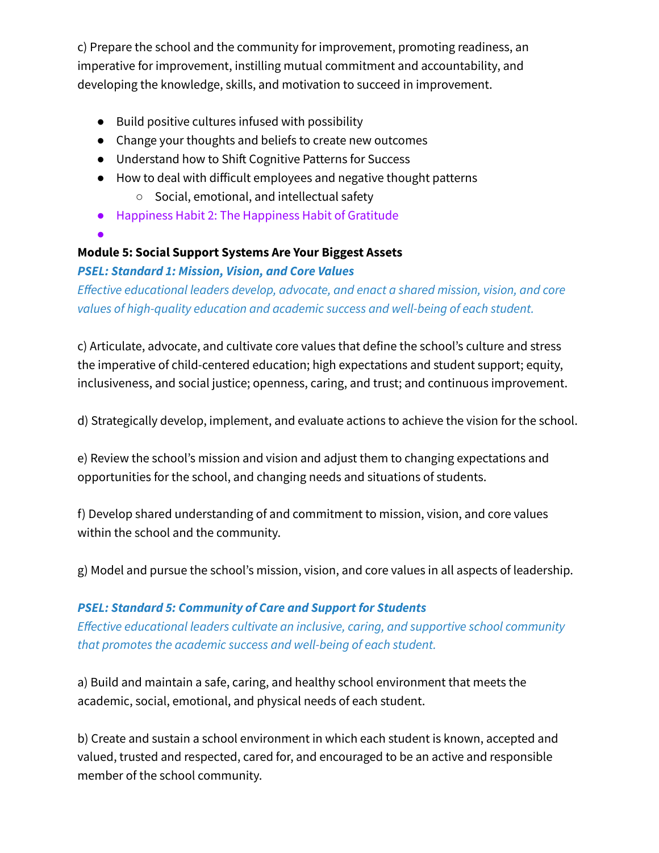c) Prepare the school and the community for improvement, promoting readiness, an imperative for improvement, instilling mutual commitment and accountability, and developing the knowledge, skills, and motivation to succeed in improvement.

- Build positive cultures infused with possibility
- Change your thoughts and beliefs to create new outcomes
- Understand how to Shift Cognitive Patterns for Success
- How to deal with difficult employees and negative thought patterns
	- Social, emotional, and intellectual safety
- Happiness Habit 2: The Happiness Habit of Gratitude
- ●

## **Module 5: Social Support Systems Are Your Biggest Assets**

## *PSEL: Standard 1: Mission, Vision, and Core Values*

*Effective educational leaders develop, advocate, and enact a shared mission, vision, and core values of high-quality education and academic success and well-being of each student.*

c) Articulate, advocate, and cultivate core values that define the school's culture and stress the imperative of child-centered education; high expectations and student support; equity, inclusiveness, and social justice; openness, caring, and trust; and continuous improvement.

d) Strategically develop, implement, and evaluate actions to achieve the vision for the school.

e) Review the school's mission and vision and adjust them to changing expectations and opportunities for the school, and changing needs and situations of students.

f) Develop shared understanding of and commitment to mission, vision, and core values within the school and the community.

g) Model and pursue the school's mission, vision, and core values in all aspects of leadership.

## *PSEL: Standard 5: Community of Care and Support for Students*

*Effective educational leaders cultivate an inclusive, caring, and supportive school community that promotes the academic success and well-being of each student.*

a) Build and maintain a safe, caring, and healthy school environment that meets the academic, social, emotional, and physical needs of each student.

b) Create and sustain a school environment in which each student is known, accepted and valued, trusted and respected, cared for, and encouraged to be an active and responsible member of the school community.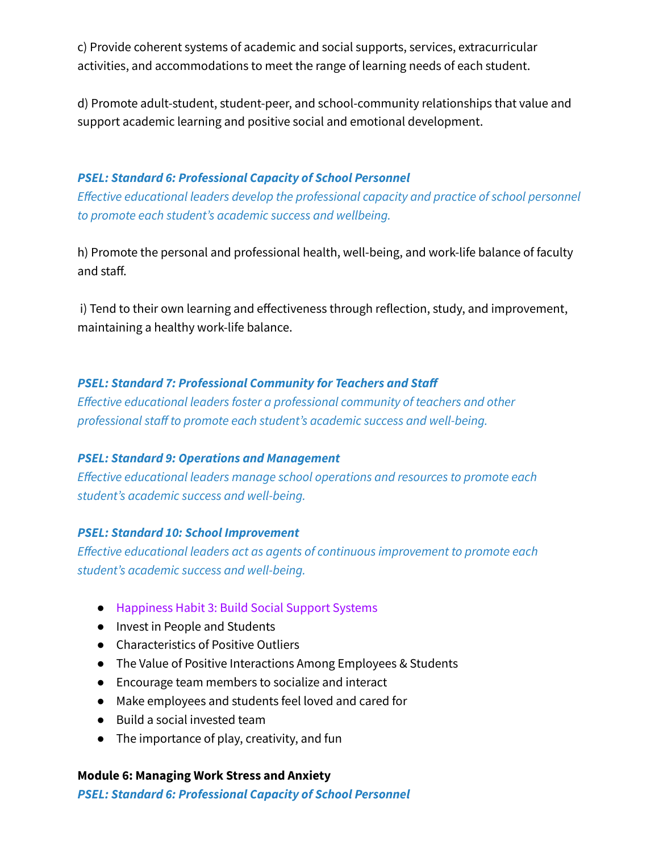c) Provide coherent systems of academic and social supports, services, extracurricular activities, and accommodations to meet the range of learning needs of each student.

d) Promote adult-student, student-peer, and school-community relationships that value and support academic learning and positive social and emotional development.

#### *PSEL: Standard 6: Professional Capacity of School Personnel*

*Effective educational leaders develop the professional capacity and practice of school personnel to promote each student's academic success and wellbeing.*

h) Promote the personal and professional health, well-being, and work-life balance of faculty and staff.

i) Tend to their own learning and effectiveness through reflection, study, and improvement, maintaining a healthy work-life balance.

#### *PSEL: Standard 7: Professional Community for Teachers and Staff*

*Effective educational leaders foster a professional community of teachers and other professional staff to promote each student's academic success and well-being.*

#### *PSEL: Standard 9: Operations and Management*

*Effective educational leaders manage school operations and resources to promote each student's academic success and well-being.*

#### *PSEL: Standard 10: School Improvement*

*Effective educational leaders act as agents of continuous improvement to promote each student's academic success and well-being.*

- Happiness Habit 3: Build Social Support Systems
- Invest in People and Students
- Characteristics of Positive Outliers
- The Value of Positive Interactions Among Employees & Students
- Encourage team members to socialize and interact
- Make employees and students feel loved and cared for
- Build a social invested team
- The importance of play, creativity, and fun

#### **Module 6: Managing Work Stress and Anxiety**

*PSEL: Standard 6: Professional Capacity of School Personnel*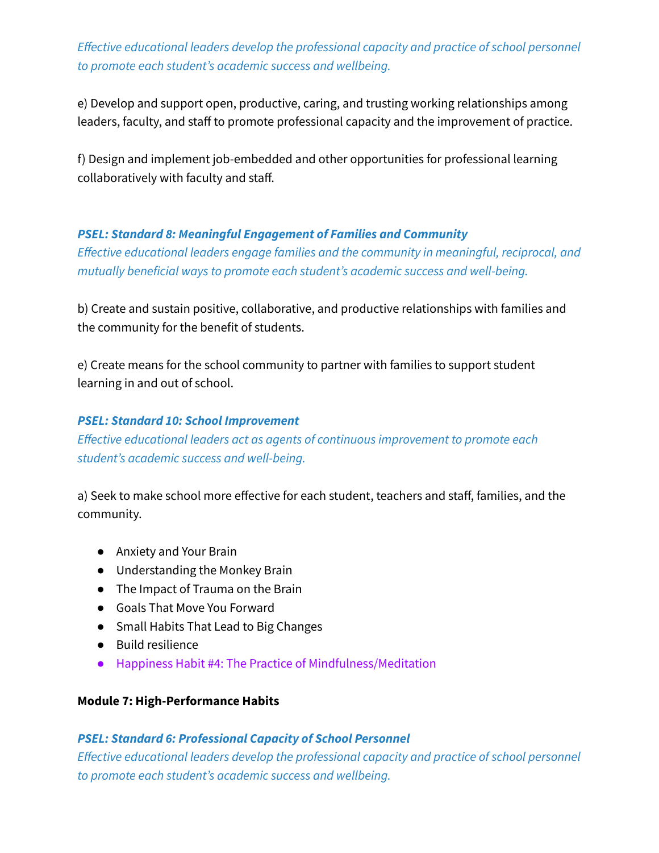*Effective educational leaders develop the professional capacity and practice of school personnel to promote each student's academic success and wellbeing.*

e) Develop and support open, productive, caring, and trusting working relationships among leaders, faculty, and staff to promote professional capacity and the improvement of practice.

f) Design and implement job-embedded and other opportunities for professional learning collaboratively with faculty and staff.

#### *PSEL: Standard 8: Meaningful Engagement of Families and Community*

*Effective educational leaders engage families and the community in meaningful, reciprocal, and mutually beneficial ways to promote each student's academic success and well-being.*

b) Create and sustain positive, collaborative, and productive relationships with families and the community for the benefit of students.

e) Create means for the school community to partner with families to support student learning in and out of school.

#### *PSEL: Standard 10: School Improvement*

*Effective educational leaders act as agents of continuous improvement to promote each student's academic success and well-being.*

a) Seek to make school more effective for each student, teachers and staff, families, and the community.

- Anxiety and Your Brain
- Understanding the Monkey Brain
- The Impact of Trauma on the Brain
- Goals That Move You Forward
- Small Habits That Lead to Big Changes
- Build resilience
- Happiness Habit #4: The Practice of Mindfulness/Meditation

#### **Module 7: High-Performance Habits**

#### *PSEL: Standard 6: Professional Capacity of School Personnel*

*Effective educational leaders develop the professional capacity and practice of school personnel to promote each student's academic success and wellbeing.*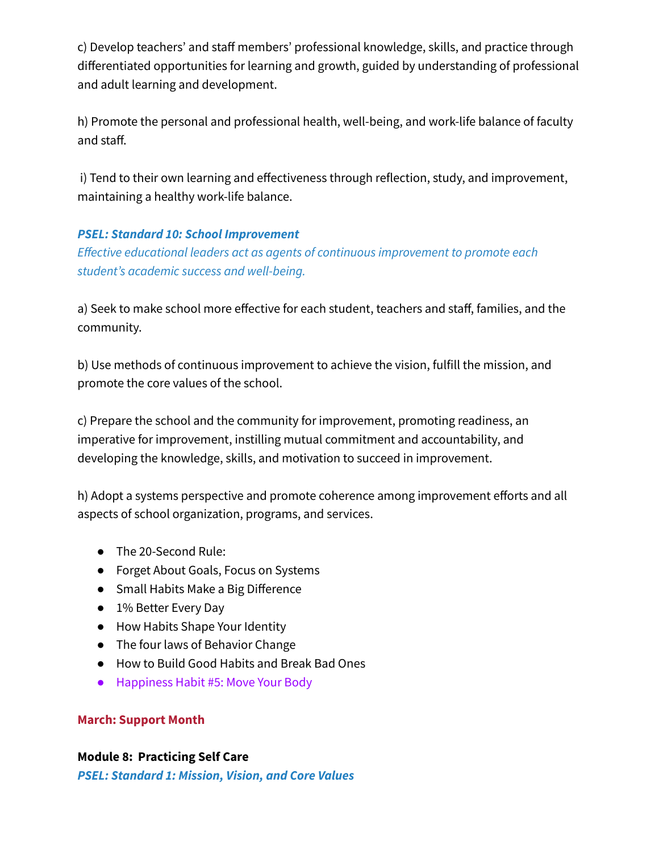c) Develop teachers' and staff members' professional knowledge, skills, and practice through differentiated opportunities for learning and growth, guided by understanding of professional and adult learning and development.

h) Promote the personal and professional health, well-being, and work-life balance of faculty and staff.

i) Tend to their own learning and effectiveness through reflection, study, and improvement, maintaining a healthy work-life balance.

## *PSEL: Standard 10: School Improvement*

*Effective educational leaders act as agents of continuous improvement to promote each student's academic success and well-being.*

a) Seek to make school more effective for each student, teachers and staff, families, and the community.

b) Use methods of continuous improvement to achieve the vision, fulfill the mission, and promote the core values of the school.

c) Prepare the school and the community for improvement, promoting readiness, an imperative for improvement, instilling mutual commitment and accountability, and developing the knowledge, skills, and motivation to succeed in improvement.

h) Adopt a systems perspective and promote coherence among improvement efforts and all aspects of school organization, programs, and services.

- The 20-Second Rule:
- Forget About Goals, Focus on Systems
- Small Habits Make a Big Difference
- 1% Better Every Day
- How Habits Shape Your Identity
- The four laws of Behavior Change
- How to Build Good Habits and Break Bad Ones
- Happiness Habit #5: Move Your Body

## **March: Support Month**

## **Module 8: Practicing Self Care**

*PSEL: Standard 1: Mission, Vision, and Core Values*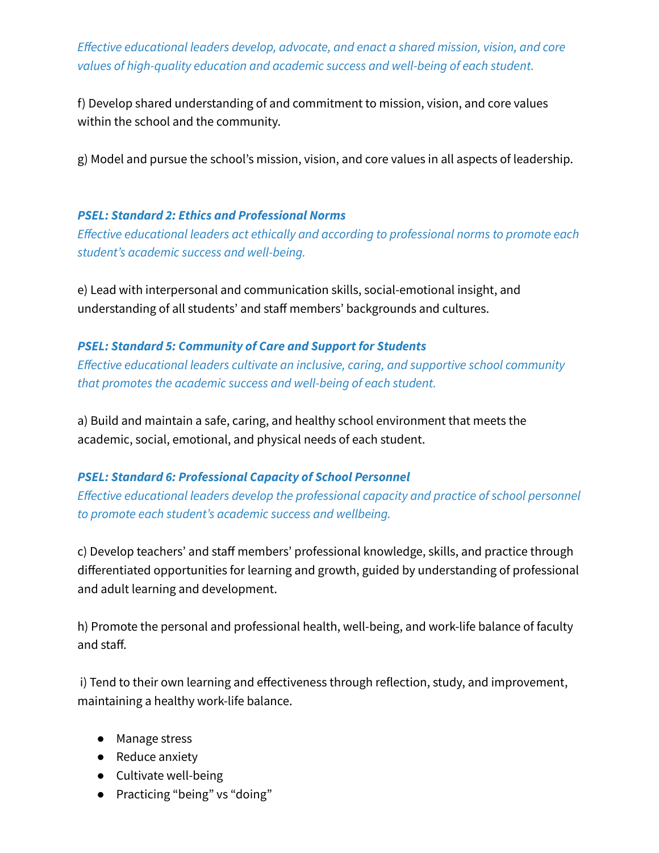*Effective educational leaders develop, advocate, and enact a shared mission, vision, and core values of high-quality education and academic success and well-being of each student.*

f) Develop shared understanding of and commitment to mission, vision, and core values within the school and the community.

g) Model and pursue the school's mission, vision, and core values in all aspects of leadership.

## *PSEL: Standard 2: Ethics and Professional Norms*

*Effective educational leaders act ethically and according to professional norms to promote each student's academic success and well-being.*

e) Lead with interpersonal and communication skills, social-emotional insight, and understanding of all students' and staff members' backgrounds and cultures.

## *PSEL: Standard 5: Community of Care and Support for Students*

*Effective educational leaders cultivate an inclusive, caring, and supportive school community that promotes the academic success and well-being of each student.*

a) Build and maintain a safe, caring, and healthy school environment that meets the academic, social, emotional, and physical needs of each student.

## *PSEL: Standard 6: Professional Capacity of School Personnel*

*Effective educational leaders develop the professional capacity and practice of school personnel to promote each student's academic success and wellbeing.*

c) Develop teachers' and staff members' professional knowledge, skills, and practice through differentiated opportunities for learning and growth, guided by understanding of professional and adult learning and development.

h) Promote the personal and professional health, well-being, and work-life balance of faculty and staff.

i) Tend to their own learning and effectiveness through reflection, study, and improvement, maintaining a healthy work-life balance.

- Manage stress
- Reduce anxiety
- Cultivate well-being
- Practicing "being" vs "doing"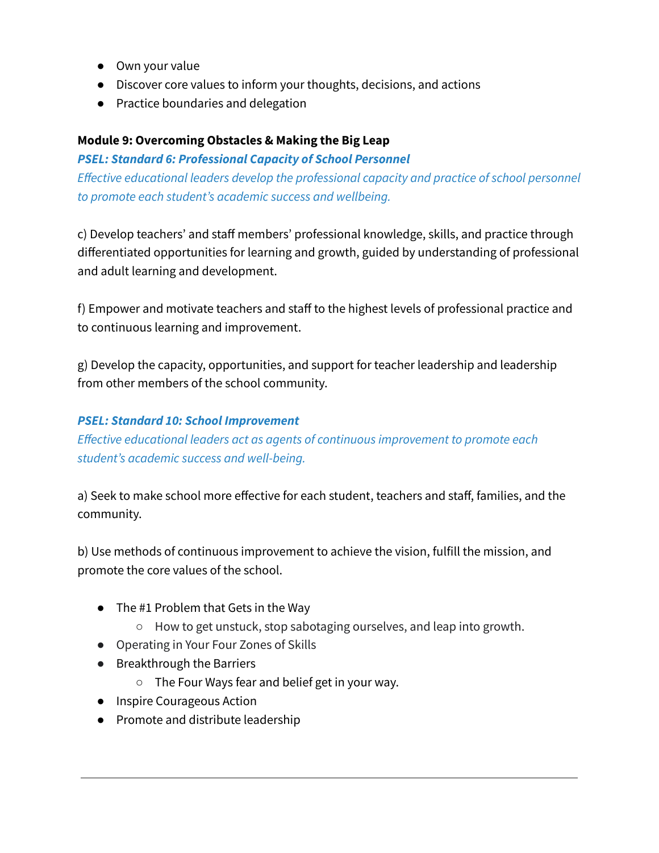- Own your value
- Discover core values to inform your thoughts, decisions, and actions
- Practice boundaries and delegation

## **Module 9: Overcoming Obstacles & Making the Big Leap**

## *PSEL: Standard 6: Professional Capacity of School Personnel*

*Effective educational leaders develop the professional capacity and practice of school personnel to promote each student's academic success and wellbeing.*

c) Develop teachers' and staff members' professional knowledge, skills, and practice through differentiated opportunities for learning and growth, guided by understanding of professional and adult learning and development.

f) Empower and motivate teachers and staff to the highest levels of professional practice and to continuous learning and improvement.

g) Develop the capacity, opportunities, and support for teacher leadership and leadership from other members of the school community.

## *PSEL: Standard 10: School Improvement*

*Effective educational leaders act as agents of continuous improvement to promote each student's academic success and well-being.*

a) Seek to make school more effective for each student, teachers and staff, families, and the community.

b) Use methods of continuous improvement to achieve the vision, fulfill the mission, and promote the core values of the school.

- **●** The #1 Problem that Gets in the Way
	- How to get unstuck, stop sabotaging ourselves, and leap into growth.
- Operating in Your Four Zones of Skills
- Breakthrough the Barriers
	- The Four Ways fear and belief get in your way.
- Inspire Courageous Action
- Promote and distribute leadership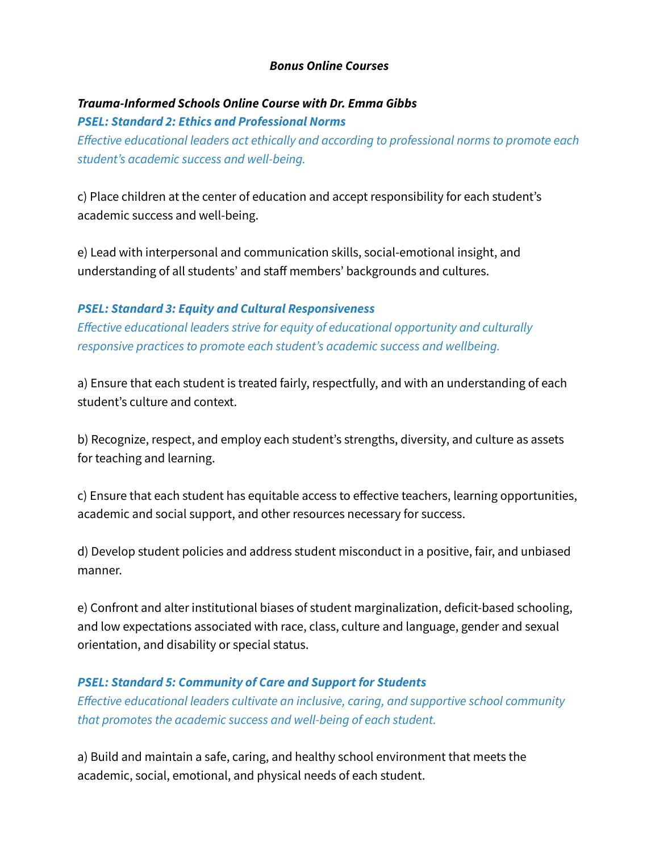#### *Bonus Online Courses*

## *Trauma-Informed Schools Online Course with Dr. Emma Gibbs PSEL: Standard 2: Ethics and Professional Norms*

*Effective educational leaders act ethically and according to professional norms to promote each student's academic success and well-being.*

c) Place children at the center of education and accept responsibility for each student's academic success and well-being.

e) Lead with interpersonal and communication skills, social-emotional insight, and understanding of all students' and staff members' backgrounds and cultures.

#### *PSEL: Standard 3: Equity and Cultural Responsiveness*

*Effective educational leaders strive for equity of educational opportunity and culturally responsive practices to promote each student's academic success and wellbeing.*

a) Ensure that each student is treated fairly, respectfully, and with an understanding of each student's culture and context.

b) Recognize, respect, and employ each student's strengths, diversity, and culture as assets for teaching and learning.

c) Ensure that each student has equitable access to effective teachers, learning opportunities, academic and social support, and other resources necessary for success.

d) Develop student policies and address student misconduct in a positive, fair, and unbiased manner.

e) Confront and alter institutional biases of student marginalization, deficit-based schooling, and low expectations associated with race, class, culture and language, gender and sexual orientation, and disability or special status.

#### *PSEL: Standard 5: Community of Care and Support for Students*

*Effective educational leaders cultivate an inclusive, caring, and supportive school community that promotes the academic success and well-being of each student.*

a) Build and maintain a safe, caring, and healthy school environment that meets the academic, social, emotional, and physical needs of each student.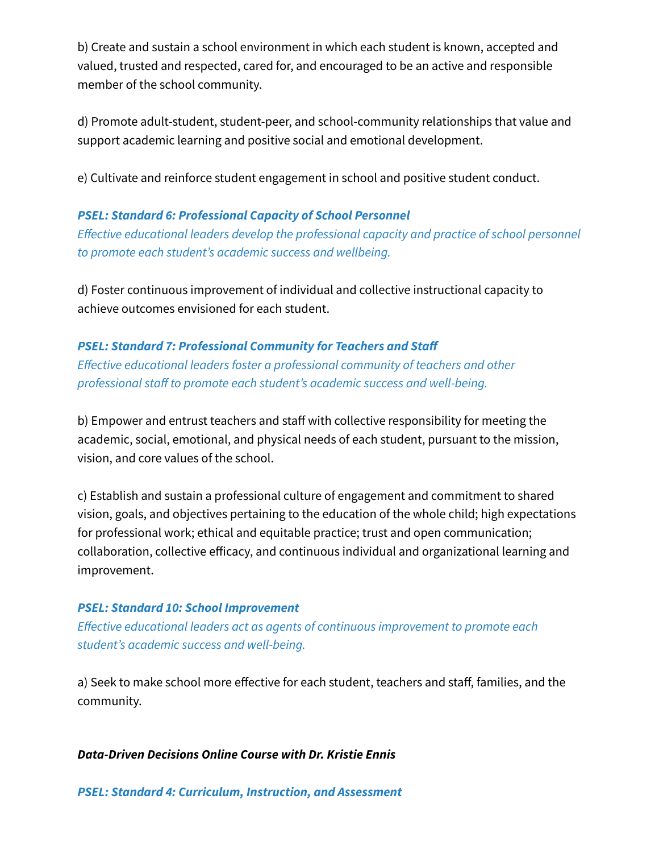b) Create and sustain a school environment in which each student is known, accepted and valued, trusted and respected, cared for, and encouraged to be an active and responsible member of the school community.

d) Promote adult-student, student-peer, and school-community relationships that value and support academic learning and positive social and emotional development.

e) Cultivate and reinforce student engagement in school and positive student conduct.

#### *PSEL: Standard 6: Professional Capacity of School Personnel*

*Effective educational leaders develop the professional capacity and practice of school personnel to promote each student's academic success and wellbeing.*

d) Foster continuous improvement of individual and collective instructional capacity to achieve outcomes envisioned for each student.

#### *PSEL: Standard 7: Professional Community for Teachers and Staff*

*Effective educational leaders foster a professional community of teachers and other professional staff to promote each student's academic success and well-being.*

b) Empower and entrust teachers and staff with collective responsibility for meeting the academic, social, emotional, and physical needs of each student, pursuant to the mission, vision, and core values of the school.

c) Establish and sustain a professional culture of engagement and commitment to shared vision, goals, and objectives pertaining to the education of the whole child; high expectations for professional work; ethical and equitable practice; trust and open communication; collaboration, collective efficacy, and continuous individual and organizational learning and improvement.

#### *PSEL: Standard 10: School Improvement*

*Effective educational leaders act as agents of continuous improvement to promote each student's academic success and well-being.*

a) Seek to make school more effective for each student, teachers and staff, families, and the community.

#### *Data-Driven Decisions Online Course with Dr. Kristie Ennis*

*PSEL: Standard 4: Curriculum, Instruction, and Assessment*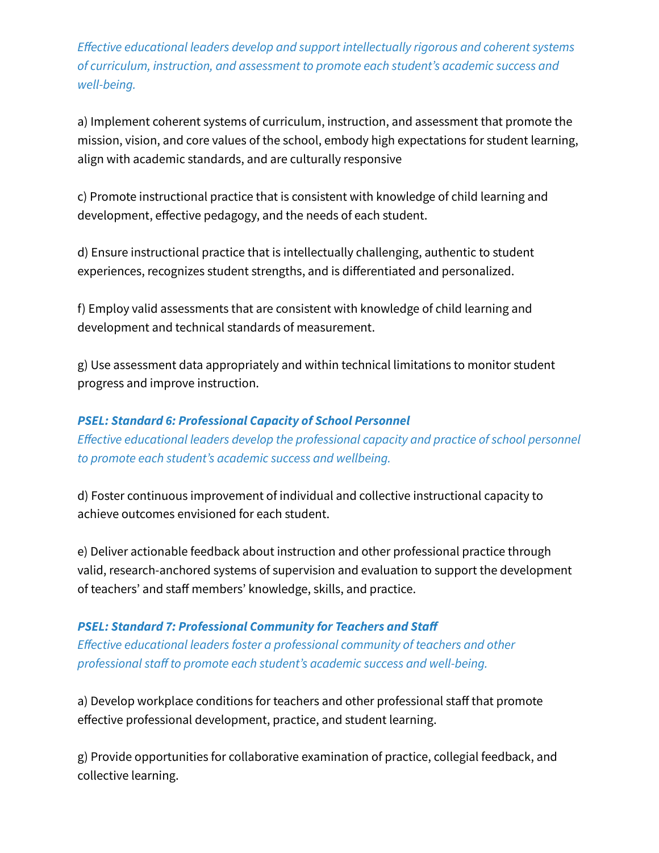*Effective educational leaders develop and support intellectually rigorous and coherent systems of curriculum, instruction, and assessment to promote each student's academic success and well-being.*

a) Implement coherent systems of curriculum, instruction, and assessment that promote the mission, vision, and core values of the school, embody high expectations for student learning, align with academic standards, and are culturally responsive

c) Promote instructional practice that is consistent with knowledge of child learning and development, effective pedagogy, and the needs of each student.

d) Ensure instructional practice that is intellectually challenging, authentic to student experiences, recognizes student strengths, and is differentiated and personalized.

f) Employ valid assessments that are consistent with knowledge of child learning and development and technical standards of measurement.

g) Use assessment data appropriately and within technical limitations to monitor student progress and improve instruction.

## *PSEL: Standard 6: Professional Capacity of School Personnel*

*Effective educational leaders develop the professional capacity and practice of school personnel to promote each student's academic success and wellbeing.*

d) Foster continuous improvement of individual and collective instructional capacity to achieve outcomes envisioned for each student.

e) Deliver actionable feedback about instruction and other professional practice through valid, research-anchored systems of supervision and evaluation to support the development of teachers' and staff members' knowledge, skills, and practice.

## *PSEL: Standard 7: Professional Community for Teachers and Staff Effective educational leaders foster a professional community of teachers and other professional staff to promote each student's academic success and well-being.*

a) Develop workplace conditions for teachers and other professional staff that promote effective professional development, practice, and student learning.

g) Provide opportunities for collaborative examination of practice, collegial feedback, and collective learning.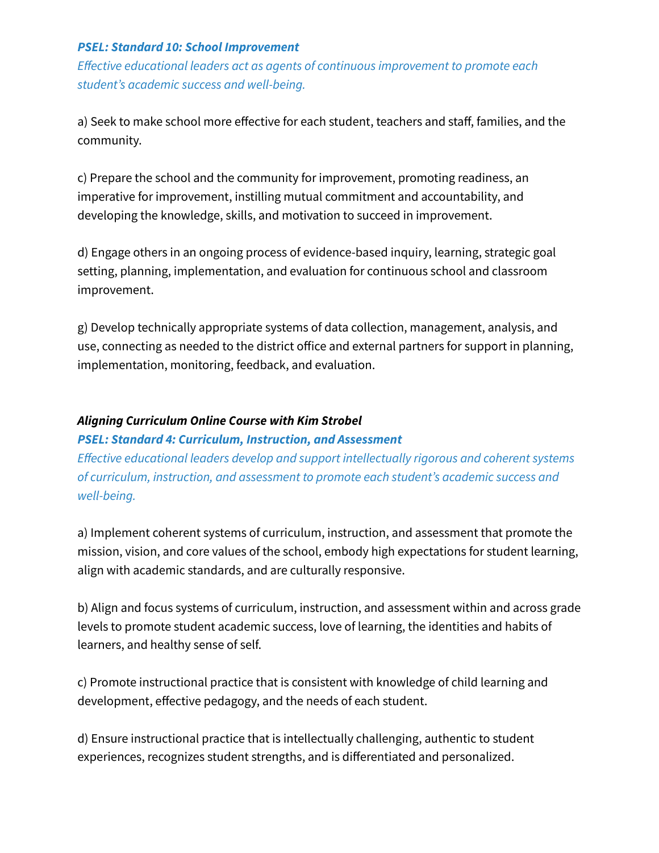#### *PSEL: Standard 10: School Improvement*

*Effective educational leaders act as agents of continuous improvement to promote each student's academic success and well-being.*

a) Seek to make school more effective for each student, teachers and staff, families, and the community.

c) Prepare the school and the community for improvement, promoting readiness, an imperative for improvement, instilling mutual commitment and accountability, and developing the knowledge, skills, and motivation to succeed in improvement.

d) Engage others in an ongoing process of evidence-based inquiry, learning, strategic goal setting, planning, implementation, and evaluation for continuous school and classroom improvement.

g) Develop technically appropriate systems of data collection, management, analysis, and use, connecting as needed to the district office and external partners for support in planning, implementation, monitoring, feedback, and evaluation.

## *Aligning Curriculum Online Course with Kim Strobel*

#### *PSEL: Standard 4: Curriculum, Instruction, and Assessment*

*Effective educational leaders develop and support intellectually rigorous and coherent systems of curriculum, instruction, and assessment to promote each student's academic success and well-being.*

a) Implement coherent systems of curriculum, instruction, and assessment that promote the mission, vision, and core values of the school, embody high expectations for student learning, align with academic standards, and are culturally responsive.

b) Align and focus systems of curriculum, instruction, and assessment within and across grade levels to promote student academic success, love of learning, the identities and habits of learners, and healthy sense of self.

c) Promote instructional practice that is consistent with knowledge of child learning and development, effective pedagogy, and the needs of each student.

d) Ensure instructional practice that is intellectually challenging, authentic to student experiences, recognizes student strengths, and is differentiated and personalized.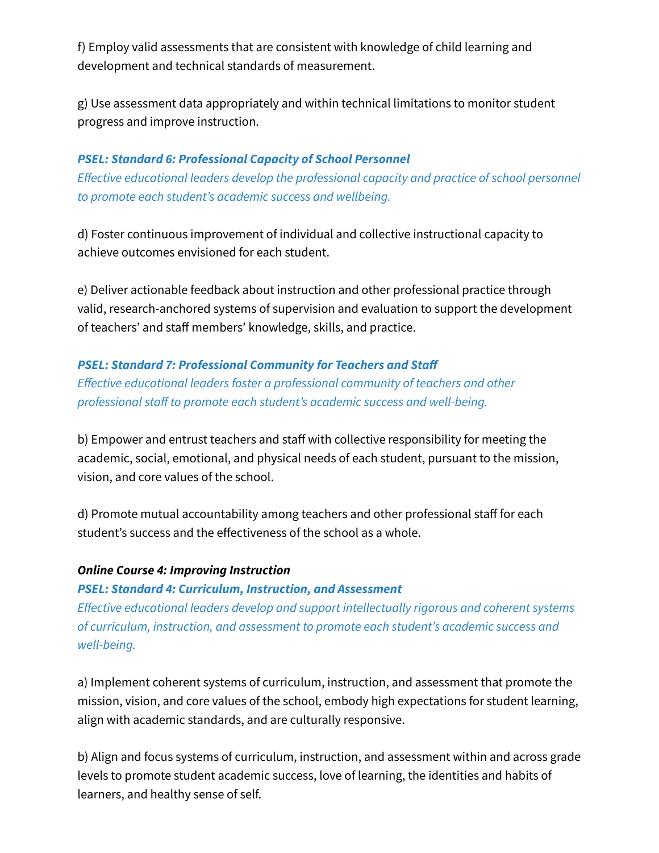f) Employ valid assessments that are consistent with knowledge of child learning and development and technical standards of measurement.

g) Use assessment data appropriately and within technical limitations to monitor student progress and improve instruction.

## *PSEL: Standard 6: Professional Capacity of School Personnel*

*Effective educational leaders develop the professional capacity and practice of school personnel to promote each student's academic success and wellbeing.*

d) Foster continuous improvement of individual and collective instructional capacity to achieve outcomes envisioned for each student.

e) Deliver actionable feedback about instruction and other professional practice through valid, research-anchored systems of supervision and evaluation to support the development of teachers' and staff members' knowledge, skills, and practice.

#### *PSEL: Standard 7: Professional Community for Teachers and Staff*

*Effective educational leaders foster a professional community of teachers and other professional staff to promote each student's academic success and well-being.*

b) Empower and entrust teachers and staff with collective responsibility for meeting the academic, social, emotional, and physical needs of each student, pursuant to the mission, vision, and core values of the school.

d) Promote mutual accountability among teachers and other professional staff for each student's success and the effectiveness of the school as a whole.

#### *Online Course 4: Improving Instruction*

#### *PSEL: Standard 4: Curriculum, Instruction, and Assessment*

*Effective educational leaders develop and support intellectually rigorous and coherent systems of curriculum, instruction, and assessment to promote each student's academic success and well-being.*

a) Implement coherent systems of curriculum, instruction, and assessment that promote the mission, vision, and core values of the school, embody high expectations for student learning, align with academic standards, and are culturally responsive.

b) Align and focus systems of curriculum, instruction, and assessment within and across grade levels to promote student academic success, love of learning, the identities and habits of learners, and healthy sense of self.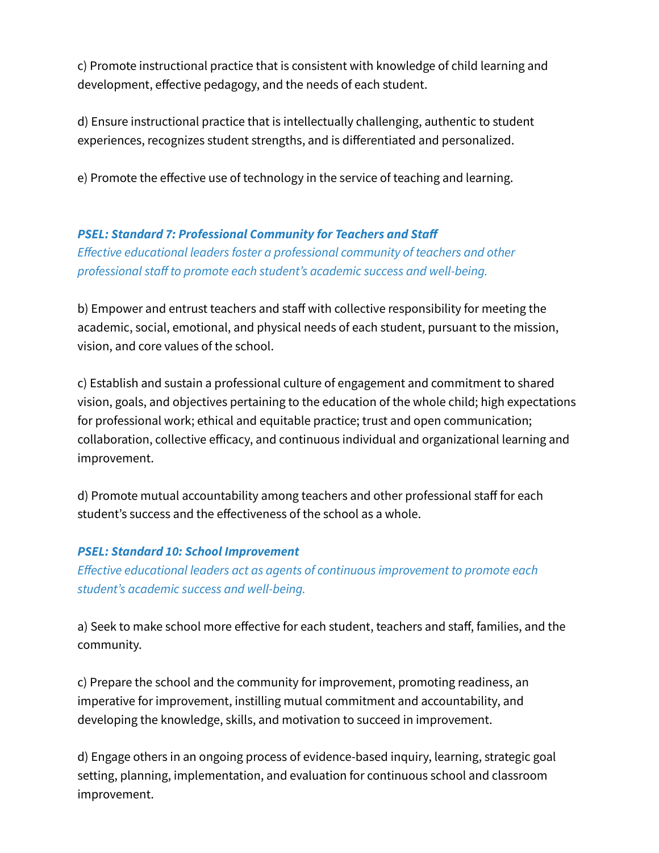c) Promote instructional practice that is consistent with knowledge of child learning and development, effective pedagogy, and the needs of each student.

d) Ensure instructional practice that is intellectually challenging, authentic to student experiences, recognizes student strengths, and is differentiated and personalized.

e) Promote the effective use of technology in the service of teaching and learning.

## *PSEL: Standard 7: Professional Community for Teachers and Staff*

*Effective educational leaders foster a professional community of teachers and other professional staff to promote each student's academic success and well-being.*

b) Empower and entrust teachers and staff with collective responsibility for meeting the academic, social, emotional, and physical needs of each student, pursuant to the mission, vision, and core values of the school.

c) Establish and sustain a professional culture of engagement and commitment to shared vision, goals, and objectives pertaining to the education of the whole child; high expectations for professional work; ethical and equitable practice; trust and open communication; collaboration, collective efficacy, and continuous individual and organizational learning and improvement.

d) Promote mutual accountability among teachers and other professional staff for each student's success and the effectiveness of the school as a whole.

## *PSEL: Standard 10: School Improvement*

*Effective educational leaders act as agents of continuous improvement to promote each student's academic success and well-being.*

a) Seek to make school more effective for each student, teachers and staff, families, and the community.

c) Prepare the school and the community for improvement, promoting readiness, an imperative for improvement, instilling mutual commitment and accountability, and developing the knowledge, skills, and motivation to succeed in improvement.

d) Engage others in an ongoing process of evidence-based inquiry, learning, strategic goal setting, planning, implementation, and evaluation for continuous school and classroom improvement.